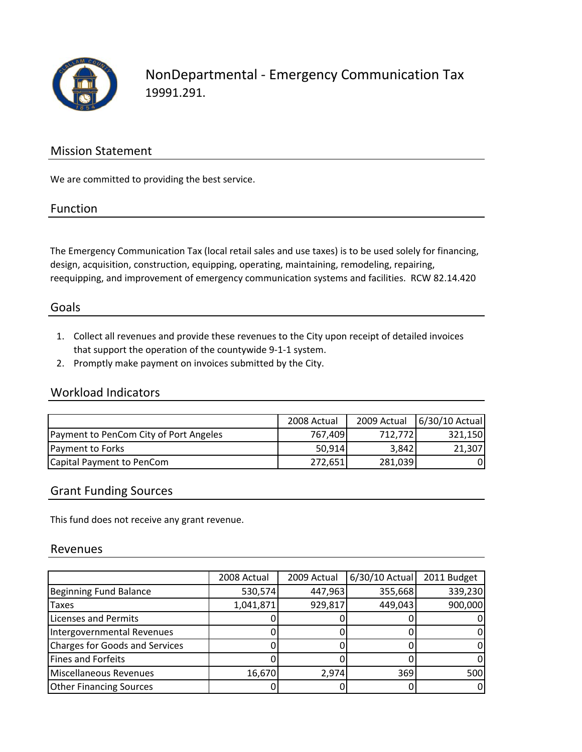

NonDepartmental ‐ Emergency Communication Tax 19991.291.

# Mission Statement

We are committed to providing the best service.

#### Function

The Emergency Communication Tax (local retail sales and use taxes) is to be used solely for financing, design, acquisition, construction, equipping, operating, maintaining, remodeling, repairing, reequipping, and improvement of emergency communication systems and facilities. RCW 82.14.420

# Goals

- 1. Collect all revenues and provide these revenues to the City upon receipt of detailed invoices that support the operation of the countywide 9‐1‐1 system.
- 2. Promptly make payment on invoices submitted by the City.

# Workload Indicators

|                                        | 2008 Actual |                  | 2009 Actual   6/30/10 Actual |
|----------------------------------------|-------------|------------------|------------------------------|
| Payment to PenCom City of Port Angeles | 767.409     | 712.772 <b>1</b> | 321,150                      |
| Payment to Forks                       | 50,914      | 3,842            | 21,307                       |
| Capital Payment to PenCom              | 272,651     | 281,039          | 01                           |

#### Grant Funding Sources

This fund does not receive any grant revenue.

#### Revenues

|                                | 2008 Actual | 2009 Actual | 6/30/10 Actual | 2011 Budget |
|--------------------------------|-------------|-------------|----------------|-------------|
| Beginning Fund Balance         | 530,574     | 447,963     | 355,668        | 339,230     |
| <b>Taxes</b>                   | 1,041,871   | 929,817     | 449,043        | 900,000     |
| Licenses and Permits           |             |             |                |             |
| Intergovernmental Revenues     |             |             |                |             |
| Charges for Goods and Services |             |             |                |             |
| Fines and Forfeits             |             |             |                |             |
| Miscellaneous Revenues         | 16,670      | 2,974       | 369            | 500         |
| <b>Other Financing Sources</b> |             |             |                |             |